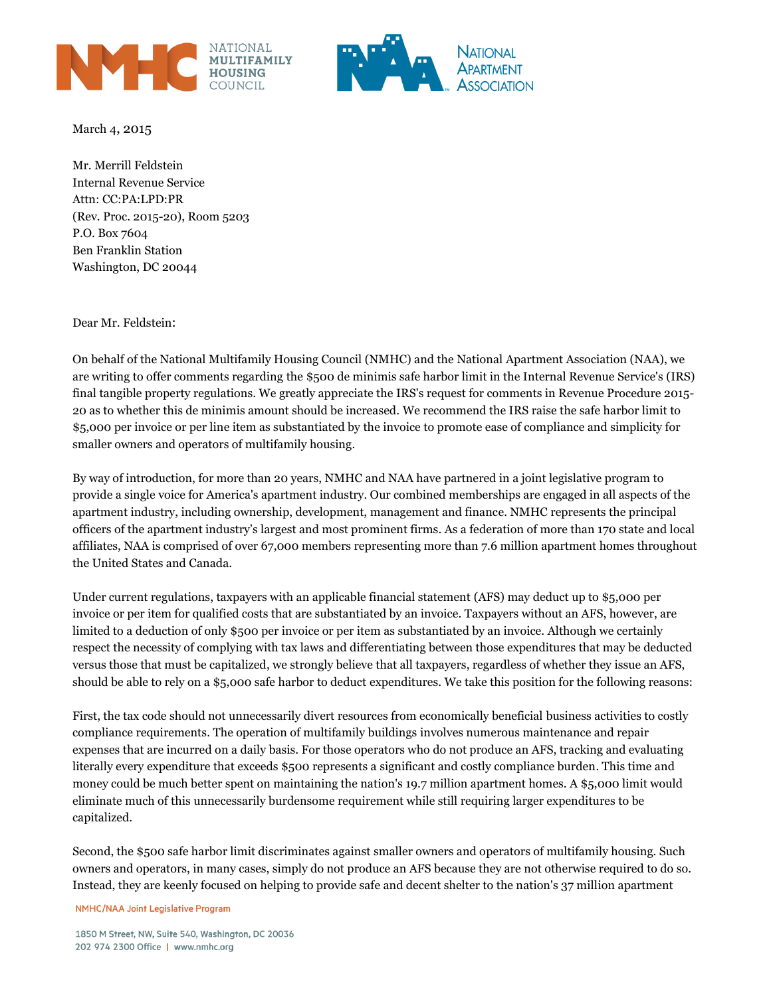



March 4, 2015

Mr. Merrill Feldstein Internal Revenue Service Attn: CC:PA:LPD:PR (Rev. Proc. 2015-20), Room 5203 P.O. Box 7604 Ben Franklin Station Washington, DC 20044

Dear Mr. Feldstein:

On behalf of the National Multifamily Housing Council (NMHC) and the National Apartment Association (NAA), we are writing to offer comments regarding the \$500 de minimis safe harbor limit in the Internal Revenue Service's (IRS) final tangible property regulations. We greatly appreciate the IRS's request for comments in Revenue Procedure 2015- 20 as to whether this de minimis amount should be increased. We recommend the IRS raise the safe harbor limit to \$5,000 per invoice or per line item as substantiated by the invoice to promote ease of compliance and simplicity for smaller owners and operators of multifamily housing.

By way of introduction, for more than 20 years, NMHC and NAA have partnered in a joint legislative program to provide a single voice for America's apartment industry. Our combined memberships are engaged in all aspects of the apartment industry, including ownership, development, management and finance. NMHC represents the principal officers of the apartment industry's largest and most prominent firms. As a federation of more than 170 state and local affiliates, NAA is comprised of over 67,000 members representing more than 7.6 million apartment homes throughout the United States and Canada.

Under current regulations, taxpayers with an applicable financial statement (AFS) may deduct up to \$5,000 per invoice or per item for qualified costs that are substantiated by an invoice. Taxpayers without an AFS, however, are limited to a deduction of only \$500 per invoice or per item as substantiated by an invoice. Although we certainly respect the necessity of complying with tax laws and differentiating between those expenditures that may be deducted versus those that must be capitalized, we strongly believe that all taxpayers, regardless of whether they issue an AFS, should be able to rely on a \$5,000 safe harbor to deduct expenditures. We take this position for the following reasons:

First, the tax code should not unnecessarily divert resources from economically beneficial business activities to costly compliance requirements. The operation of multifamily buildings involves numerous maintenance and repair expenses that are incurred on a daily basis. For those operators who do not produce an AFS, tracking and evaluating literally every expenditure that exceeds \$500 represents a significant and costly compliance burden. This time and money could be much better spent on maintaining the nation's 19.7 million apartment homes. A \$5,000 limit would eliminate much of this unnecessarily burdensome requirement while still requiring larger expenditures to be capitalized.

Second, the \$500 safe harbor limit discriminates against smaller owners and operators of multifamily housing. Such owners and operators, in many cases, simply do not produce an AFS because they are not otherwise required to do so. Instead, they are keenly focused on helping to provide safe and decent shelter to the nation's 37 million apartment

NMHC/NAA Joint Legislative Program

1850 M Street, NW, Suite 540, Washington, DC 20036 202 974 2300 Office | www.nmhc.org